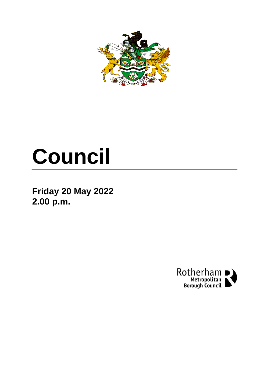

# **Council**

**Friday 20 May 2022 2.00 p.m.**

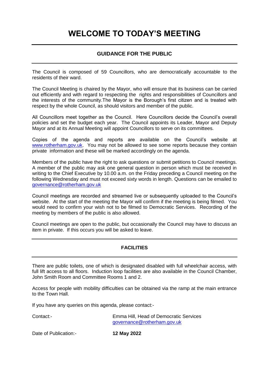## **WELCOME TO TODAY'S MEETING**

### **GUIDANCE FOR THE PUBLIC**

The Council is composed of 59 Councillors, who are democratically accountable to the residents of their ward.

The Council Meeting is chaired by the Mayor, who will ensure that its business can be carried out efficiently and with regard to respecting the rights and responsibilities of Councillors and the interests of the community.The Mayor is the Borough's first citizen and is treated with respect by the whole Council, as should visitors and member of the public.

All Councillors meet together as the Council. Here Councillors decide the Council's overall policies and set the budget each year. The Council appoints its Leader, Mayor and Deputy Mayor and at its Annual Meeting will appoint Councillors to serve on its committees.

Copies of the agenda and reports are available on the Council's website at [www.rotherham.gov.uk.](http://www.rotherham.gov.uk/) You may not be allowed to see some reports because they contain private information and these will be marked accordingly on the agenda.

Members of the public have the right to ask questions or submit petitions to Council meetings. A member of the public may ask one general question in person which must be received in writing to the Chief Executive by 10.00 a.m. on the Friday preceding a Council meeting on the following Wednesday and must not exceed sixty words in length. Questions can be emailed to [governance@rotherham.gov.uk](mailto:governance@rotherham.gov.uk)

Council meetings are recorded and streamed live or subsequently uploaded to the Council's website. At the start of the meeting the Mayor will confirm if the meeting is being filmed. You would need to confirm your wish not to be filmed to Democratic Services. Recording of the meeting by members of the public is also allowed.

Council meetings are open to the public, but occasionally the Council may have to discuss an item in private. If this occurs you will be asked to leave.

### **FACILITIES**

There are public toilets, one of which is designated disabled with full wheelchair access, with full lift access to all floors. Induction loop facilities are also available in the Council Chamber, John Smith Room and Committee Rooms 1 and 2.

Access for people with mobility difficulties can be obtained via the ramp at the main entrance to the Town Hall.

If you have any queries on this agenda, please contact:-

Contact:- Emma Hill, Head of Democratic Services [governance@rotherham.gov.uk](mailto:governance@rotherham.gov.uk)

Date of Publication:- **12 May 2022**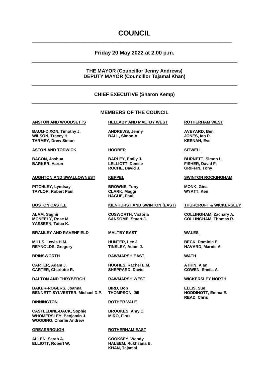### **COUNCIL**

**\_\_\_\_\_\_\_\_\_\_\_\_\_\_\_\_\_\_\_\_\_\_\_\_\_\_\_\_\_\_\_\_\_\_\_\_\_\_\_\_\_\_\_\_\_\_\_\_\_\_\_\_\_\_\_\_\_\_\_\_\_\_\_\_\_\_\_**

### **Friday 20 May 2022 at 2.00 p.m.**

### **THE MAYOR (Councillor Jenny Andrews) DEPUTY MAYOR (Councillor Tajamal Khan)**

### **CHIEF EXECUTIVE (Sharon Kemp)**

### **MEMBERS OF THE COUNCIL**

**BAUM-DIXON, Timothy J. ANDREWS, Jenny AVEYARD, Ben WILSON, Tracey H BALL, Simon A. JONES, Ian P. TARMEY, Drew Simon KEENAN, Eve**

### **ASTON AND TODWICK HOOBER SITWELL**

### **AUGHTON AND SWALLOWNEST KEPPEL SWINTON ROCKINGHAM**

**PITCHLEY, Lyndsay <b>BROWNE, Tony MONK, Gina TAYLOR, Robert Paul CLARK, Maggi WYATT, Ken**

**YASSEEN, Taiba K.**

### **BRAMLEY AND RAVENFIELD MALTBY EAST WALES**

**MILLS, Lewis H.M. HUNTER, Lee J. BECK, Dominic E.**  $REYNOLDS.$  **Gregory** 

**CARTER, Adam J. HUGHES, Rachel E.M. ATKIN, Alan**

### **DALTON AND THRYBERGH RAWMARSH WEST WICKERSLEY NORTH**

**BAKER-ROGERS, Joanna BIRD, Bob ELLIS, Sue BENNETT-SYLVESTER, Michael D.P. THOMPSON, Jill HODDINOTT, Emma E.**

**CASTLEDINE-DACK, Sophie BROOKES, Amy C. WHOMERSLEY, Benjamin J. MIRO, Firas WOODING, Charlie Andrew**

**ALLEN, Sarah A. COOKSEY, Wendy**

### **ANSTON AND WOODSETTS HELLABY AND MALTBY WEST ROTHERHAM WEST**

**BARKER, Aaron LELLIOTT, Denise FISHER, David F. ROCHE, David J. GRIFFIN, Tony**

**HAGUE, Paul**

### **BOSTON CASTLE KILNHURST AND SWINTON (EAST) THURCROFT & WICKERSLEY**

**BRINSWORTH RAWMARSH EAST WATH**

**CARTER, Charlotte R. SHEPPARD, David COWEN, Sheila A.**

### **DINNINGTON ROTHER VALE**

### **GREASBROUGH ROTHERHAM EAST**

**ELLIOTT, Robert W. HALEEM, Rukhsana B. KHAN, Tajamal**

**BACON, Joshua BARLEY, Emily J. BURNETT, Simon L.**

**ALAM, Saghir CUSWORTH, Victoria COLLINGHAM, Zachary A. MCNEELY, Rose M. SANSOME, Stuart J. COLLINGHAM, Thomas R.**

**READ, Chris**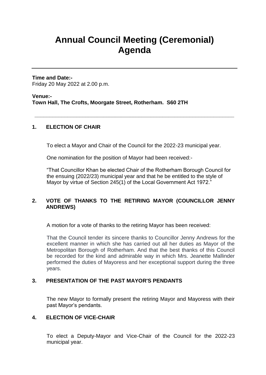# **Annual Council Meeting (Ceremonial) Agenda**

**Time and Date:-** Friday 20 May 2022 at 2.00 p.m.

**Venue:- Town Hall, The Crofts, Moorgate Street, Rotherham. S60 2TH**

### **1. ELECTION OF CHAIR**

To elect a Mayor and Chair of the Council for the 2022-23 municipal year.

**\_\_\_\_\_\_\_\_\_\_\_\_\_\_\_\_\_\_\_\_\_\_\_\_\_\_\_\_\_\_\_\_\_\_\_\_\_\_\_\_\_\_\_\_\_\_\_\_\_\_\_\_\_\_\_\_\_\_\_\_\_\_\_\_\_\_\_**

One nomination for the position of Mayor had been received:-

"That Councillor Khan be elected Chair of the Rotherham Borough Council for the ensuing (2022/23) municipal year and that he be entitled to the style of Mayor by virtue of Section 245(1) of the Local Government Act 1972."

### **2. VOTE OF THANKS TO THE RETIRING MAYOR (COUNCILLOR JENNY ANDREWS)**

A motion for a vote of thanks to the retiring Mayor has been received:

That the Council tender its sincere thanks to Councillor Jenny Andrews for the excellent manner in which she has carried out all her duties as Mayor of the Metropolitan Borough of Rotherham. And that the best thanks of this Council be recorded for the kind and admirable way in which Mrs. Jeanette Mallinder performed the duties of Mayoress and her exceptional support during the three years.

### **3. PRESENTATION OF THE PAST MAYOR'S PENDANTS**

The new Mayor to formally present the retiring Mayor and Mayoress with their past Mayor's pendants.

### **4. ELECTION OF VICE-CHAIR**

To elect a Deputy-Mayor and Vice-Chair of the Council for the 2022-23 municipal year.